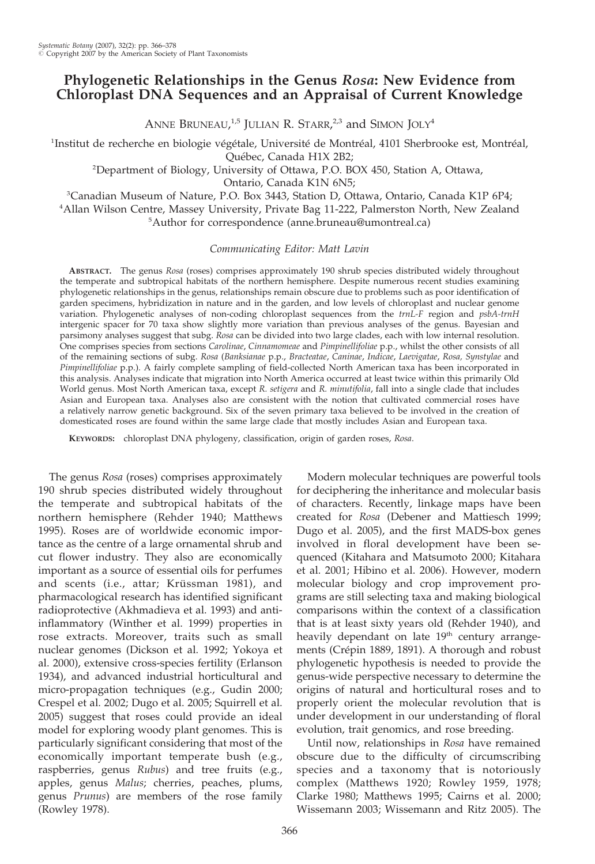# Phylogenetic Relationships in the Genus Rosa: New Evidence from Chloroplast DNA Sequences and an Appraisal of Current Knowledge

ANNE BRUNEAU, $^{1,5}$  JULIAN R. STARR, $^{2,3}$  and Simon Joly<sup>4</sup>

Institut de recherche en biologie végétale, Université de Montréal, 4101 Sherbrooke est, Montréal, Québec, Canada H1X 2B2;

2 Department of Biology, University of Ottawa, P.O. BOX 450, Station A, Ottawa,

Ontario, Canada K1N 6N5;

3 Canadian Museum of Nature, P.O. Box 3443, Station D, Ottawa, Ontario, Canada K1P 6P4; 4 Allan Wilson Centre, Massey University, Private Bag 11-222, Palmerston North, New Zealand 5 Author for correspondence (anne.bruneau@umontreal.ca)

# Communicating Editor: Matt Lavin

ABSTRACT. The genus Rosa (roses) comprises approximately 190 shrub species distributed widely throughout the temperate and subtropical habitats of the northern hemisphere. Despite numerous recent studies examining phylogenetic relationships in the genus, relationships remain obscure due to problems such as poor identification of garden specimens, hybridization in nature and in the garden, and low levels of chloroplast and nuclear genome variation. Phylogenetic analyses of non-coding chloroplast sequences from the trnL-F region and psbA-trnH intergenic spacer for 70 taxa show slightly more variation than previous analyses of the genus. Bayesian and parsimony analyses suggest that subg. Rosa can be divided into two large clades, each with low internal resolution. One comprises species from sections Carolinae, Cinnamomeae and Pimpinellifoliae p.p., whilst the other consists of all of the remaining sections of subg. Rosa (Banksianae p.p., Bracteatae, Caninae, Indicae, Laevigatae, Rosa, Synstylae and Pimpinellifoliae p.p.). A fairly complete sampling of field-collected North American taxa has been incorporated in this analysis. Analyses indicate that migration into North America occurred at least twice within this primarily Old World genus. Most North American taxa, except R. setigera and R. minutifolia, fall into a single clade that includes Asian and European taxa. Analyses also are consistent with the notion that cultivated commercial roses have a relatively narrow genetic background. Six of the seven primary taxa believed to be involved in the creation of domesticated roses are found within the same large clade that mostly includes Asian and European taxa.

KEYWORDS: chloroplast DNA phylogeny, classification, origin of garden roses, Rosa.

The genus Rosa (roses) comprises approximately 190 shrub species distributed widely throughout the temperate and subtropical habitats of the northern hemisphere (Rehder 1940; Matthews 1995). Roses are of worldwide economic importance as the centre of a large ornamental shrub and cut flower industry. They also are economically important as a source of essential oils for perfumes and scents (i.e., attar; Krüssman 1981), and pharmacological research has identified significant radioprotective (Akhmadieva et al. 1993) and antiinflammatory (Winther et al. 1999) properties in rose extracts. Moreover, traits such as small nuclear genomes (Dickson et al. 1992; Yokoya et al. 2000), extensive cross-species fertility (Erlanson 1934), and advanced industrial horticultural and micro-propagation techniques (e.g., Gudin 2000; Crespel et al. 2002; Dugo et al. 2005; Squirrell et al. 2005) suggest that roses could provide an ideal model for exploring woody plant genomes. This is particularly significant considering that most of the economically important temperate bush (e.g., raspberries, genus Rubus) and tree fruits (e.g., apples, genus Malus; cherries, peaches, plums, genus Prunus) are members of the rose family (Rowley 1978).

Modern molecular techniques are powerful tools for deciphering the inheritance and molecular basis of characters. Recently, linkage maps have been created for Rosa (Debener and Mattiesch 1999; Dugo et al. 2005), and the first MADS-box genes involved in floral development have been sequenced (Kitahara and Matsumoto 2000; Kitahara et al. 2001; Hibino et al. 2006). However, modern molecular biology and crop improvement programs are still selecting taxa and making biological comparisons within the context of a classification that is at least sixty years old (Rehder 1940), and heavily dependant on late 19<sup>th</sup> century arrangements (Crépin 1889, 1891). A thorough and robust phylogenetic hypothesis is needed to provide the genus-wide perspective necessary to determine the origins of natural and horticultural roses and to properly orient the molecular revolution that is under development in our understanding of floral evolution, trait genomics, and rose breeding.

Until now, relationships in Rosa have remained obscure due to the difficulty of circumscribing species and a taxonomy that is notoriously complex (Matthews 1920; Rowley 1959, 1978; Clarke 1980; Matthews 1995; Cairns et al. 2000; Wissemann 2003; Wissemann and Ritz 2005). The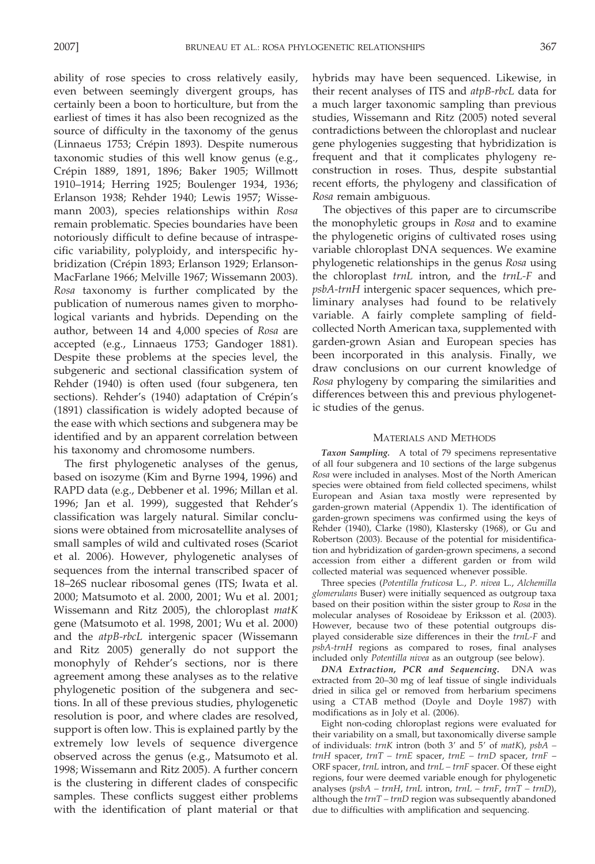ability of rose species to cross relatively easily, even between seemingly divergent groups, has certainly been a boon to horticulture, but from the earliest of times it has also been recognized as the source of difficulty in the taxonomy of the genus (Linnaeus 1753; Crépin 1893). Despite numerous taxonomic studies of this well know genus (e.g., Crépin 1889, 1891, 1896; Baker 1905; Willmott 1910–1914; Herring 1925; Boulenger 1934, 1936; Erlanson 1938; Rehder 1940; Lewis 1957; Wissemann 2003), species relationships within Rosa remain problematic. Species boundaries have been notoriously difficult to define because of intraspecific variability, polyploidy, and interspecific hybridization (Crépin 1893; Erlanson 1929; Erlanson-MacFarlane 1966; Melville 1967; Wissemann 2003). Rosa taxonomy is further complicated by the publication of numerous names given to morphological variants and hybrids. Depending on the author, between 14 and 4,000 species of Rosa are accepted (e.g., Linnaeus 1753; Gandoger 1881). Despite these problems at the species level, the subgeneric and sectional classification system of Rehder (1940) is often used (four subgenera, ten sections). Rehder's (1940) adaptation of Crépin's (1891) classification is widely adopted because of the ease with which sections and subgenera may be identified and by an apparent correlation between his taxonomy and chromosome numbers.

The first phylogenetic analyses of the genus, based on isozyme (Kim and Byrne 1994, 1996) and RAPD data (e.g., Debbener et al. 1996; Millan et al. 1996; Jan et al. 1999), suggested that Rehder's classification was largely natural. Similar conclusions were obtained from microsatellite analyses of small samples of wild and cultivated roses (Scariot et al. 2006). However, phylogenetic analyses of sequences from the internal transcribed spacer of 18–26S nuclear ribosomal genes (ITS; Iwata et al. 2000; Matsumoto et al. 2000, 2001; Wu et al. 2001; Wissemann and Ritz 2005), the chloroplast matK gene (Matsumoto et al. 1998, 2001; Wu et al. 2000) and the atpB-rbcL intergenic spacer (Wissemann and Ritz 2005) generally do not support the monophyly of Rehder's sections, nor is there agreement among these analyses as to the relative phylogenetic position of the subgenera and sections. In all of these previous studies, phylogenetic resolution is poor, and where clades are resolved, support is often low. This is explained partly by the extremely low levels of sequence divergence observed across the genus (e.g., Matsumoto et al. 1998; Wissemann and Ritz 2005). A further concern is the clustering in different clades of conspecific samples. These conflicts suggest either problems with the identification of plant material or that hybrids may have been sequenced. Likewise, in their recent analyses of ITS and atpB-rbcL data for a much larger taxonomic sampling than previous studies, Wissemann and Ritz (2005) noted several contradictions between the chloroplast and nuclear gene phylogenies suggesting that hybridization is frequent and that it complicates phylogeny reconstruction in roses. Thus, despite substantial recent efforts, the phylogeny and classification of Rosa remain ambiguous.

The objectives of this paper are to circumscribe the monophyletic groups in Rosa and to examine the phylogenetic origins of cultivated roses using variable chloroplast DNA sequences. We examine phylogenetic relationships in the genus Rosa using the chloroplast trnL intron, and the trnL-F and psbA-trnH intergenic spacer sequences, which preliminary analyses had found to be relatively variable. A fairly complete sampling of fieldcollected North American taxa, supplemented with garden-grown Asian and European species has been incorporated in this analysis. Finally, we draw conclusions on our current knowledge of Rosa phylogeny by comparing the similarities and differences between this and previous phylogenetic studies of the genus.

# MATERIALS AND METHODS

Taxon Sampling. A total of 79 specimens representative of all four subgenera and 10 sections of the large subgenus Rosa were included in analyses. Most of the North American species were obtained from field collected specimens, whilst European and Asian taxa mostly were represented by garden-grown material (Appendix 1). The identification of garden-grown specimens was confirmed using the keys of Rehder (1940), Clarke (1980), Klastersky (1968), or Gu and Robertson (2003). Because of the potential for misidentification and hybridization of garden-grown specimens, a second accession from either a different garden or from wild collected material was sequenced whenever possible.

Three species (Potentilla fruticosa L., P. nivea L., Alchemilla glomerulans Buser) were initially sequenced as outgroup taxa based on their position within the sister group to Rosa in the molecular analyses of Rosoideae by Eriksson et al. (2003). However, because two of these potential outgroups displayed considerable size differences in their the trnL-F and psbA-trnH regions as compared to roses, final analyses included only Potentilla nivea as an outgroup (see below).

DNA Extraction, PCR and Sequencing. DNA was extracted from 20–30 mg of leaf tissue of single individuals dried in silica gel or removed from herbarium specimens using a CTAB method (Doyle and Doyle 1987) with modifications as in Joly et al. (2006).

Eight non-coding chloroplast regions were evaluated for their variability on a small, but taxonomically diverse sample of individuals:  $trnK$  intron (both 3' and 5' of matK),  $psbA$ trnH spacer, trnT – trnE spacer, trnE – trnD spacer, trnF – ORF spacer, trnL intron, and trnL – trnF spacer. Of these eight regions, four were deemed variable enough for phylogenetic analyses ( $psbA - trnH$ ,  $trnL$  intron,  $trnL - trnF$ ,  $trnT - trnD$ ), although the  $trnT - trnD$  region was subsequently abandoned due to difficulties with amplification and sequencing.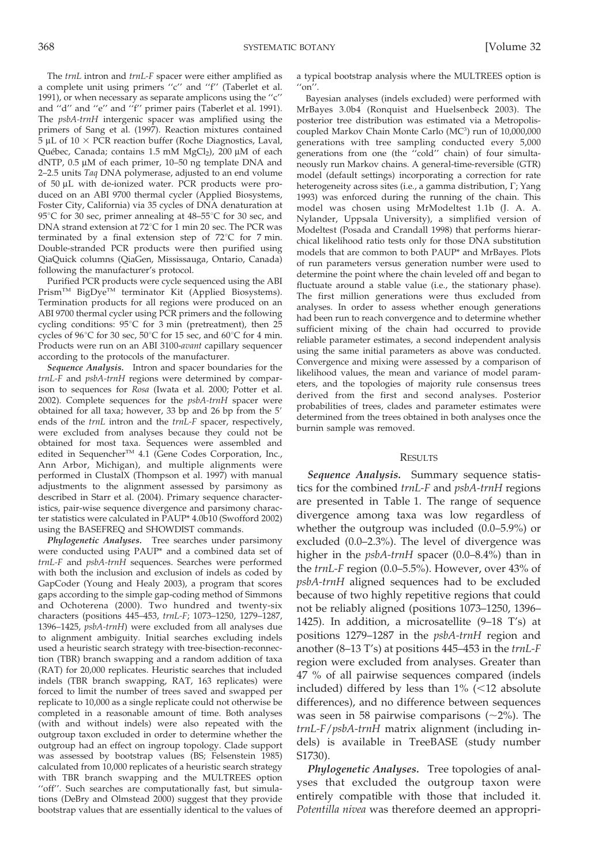The trnL intron and trnL-F spacer were either amplified as a complete unit using primers ''c'' and ''f'' (Taberlet et al. 1991), or when necessary as separate amplicons using the ''c'' and ''d'' and ''e'' and ''f'' primer pairs (Taberlet et al. 1991). The psbA-trnH intergenic spacer was amplified using the primers of Sang et al. (1997). Reaction mixtures contained  $5 \mu L$  of  $10 \times PCR$  reaction buffer (Roche Diagnostics, Laval, Québec, Canada; contains  $1.5 \text{ mM } MgCl<sub>2</sub>$ ),  $200 \mu \text{M}$  of each dNTP,  $0.5 \mu M$  of each primer,  $10-50$  ng template DNA and 2–2.5 units Taq DNA polymerase, adjusted to an end volume of 50 mL with de-ionized water. PCR products were produced on an ABI 9700 thermal cycler (Applied Biosystems, Foster City, California) via 35 cycles of DNA denaturation at 95°C for 30 sec, primer annealing at 48–55°C for 30 sec, and DNA strand extension at  $72^{\circ}$ C for 1 min 20 sec. The PCR was terminated by a final extension step of  $72^{\circ}$ C for 7 min. Double-stranded PCR products were then purified using QiaQuick columns (QiaGen, Mississauga, Ontario, Canada) following the manufacturer's protocol.

Purified PCR products were cycle sequenced using the ABI Prism™ BigDye<sup>™</sup> terminator Kit (Applied Biosystems). Termination products for all regions were produced on an ABI 9700 thermal cycler using PCR primers and the following cycling conditions:  $95^{\circ}$ C for 3 min (pretreatment), then 25 cycles of 96 $\degree$ C for 30 sec, 50 $\degree$ C for 15 sec, and 60 $\degree$ C for 4 min. Products were run on an ABI 3100-avant capillary sequencer according to the protocols of the manufacturer.

Sequence Analysis. Intron and spacer boundaries for the trnL-F and  $psbA$ -trnH regions were determined by comparison to sequences for Rosa (Iwata et al. 2000; Potter et al. 2002). Complete sequences for the psbA-trnH spacer were obtained for all taxa; however, 33 bp and 26 bp from the 5' ends of the trnL intron and the trnL-F spacer, respectively, were excluded from analyses because they could not be obtained for most taxa. Sequences were assembled and edited in Sequencher<sup>™</sup> 4.1 (Gene Codes Corporation, Inc., Ann Arbor, Michigan), and multiple alignments were performed in ClustalX (Thompson et al. 1997) with manual adjustments to the alignment assessed by parsimony as described in Starr et al. (2004). Primary sequence characteristics, pair-wise sequence divergence and parsimony character statistics were calculated in PAUP\* 4.0b10 (Swofford 2002) using the BASEFREQ and SHOWDIST commands.

Phylogenetic Analyses. Tree searches under parsimony were conducted using PAUP\* and a combined data set of trnL-F and psbA-trnH sequences. Searches were performed with both the inclusion and exclusion of indels as coded by GapCoder (Young and Healy 2003), a program that scores gaps according to the simple gap-coding method of Simmons and Ochoterena (2000). Two hundred and twenty-six characters (positions 445–453, trnL-F; 1073–1250, 1279–1287, 1396–1425, psbA-trnH) were excluded from all analyses due to alignment ambiguity. Initial searches excluding indels used a heuristic search strategy with tree-bisection-reconnection (TBR) branch swapping and a random addition of taxa (RAT) for 20,000 replicates. Heuristic searches that included indels (TBR branch swapping, RAT, 163 replicates) were forced to limit the number of trees saved and swapped per replicate to 10,000 as a single replicate could not otherwise be completed in a reasonable amount of time. Both analyses (with and without indels) were also repeated with the outgroup taxon excluded in order to determine whether the outgroup had an effect on ingroup topology. Clade support was assessed by bootstrap values (BS; Felsenstein 1985) calculated from 10,000 replicates of a heuristic search strategy with TBR branch swapping and the MULTREES option "off". Such searches are computationally fast, but simulations (DeBry and Olmstead 2000) suggest that they provide bootstrap values that are essentially identical to the values of a typical bootstrap analysis where the MULTREES option is  $\mathrm{''on''}.$ 

Bayesian analyses (indels excluded) were performed with MrBayes 3.0b4 (Ronquist and Huelsenbeck 2003). The posterior tree distribution was estimated via a Metropoliscoupled Markov Chain Monte Carlo (MC<sup>3</sup>) run of 10,000,000 generations with tree sampling conducted every 5,000 generations from one (the ''cold'' chain) of four simultaneously run Markov chains. A general-time-reversible (GTR) model (default settings) incorporating a correction for rate heterogeneity across sites (i.e., a gamma distribution,  $\Gamma$ ; Yang 1993) was enforced during the running of the chain. This model was chosen using MrModeltest 1.1b (J. A. A. Nylander, Uppsala University), a simplified version of Modeltest (Posada and Crandall 1998) that performs hierarchical likelihood ratio tests only for those DNA substitution models that are common to both PAUP\* and MrBayes. Plots of run parameters versus generation number were used to determine the point where the chain leveled off and began to fluctuate around a stable value (i.e., the stationary phase). The first million generations were thus excluded from analyses. In order to assess whether enough generations had been run to reach convergence and to determine whether sufficient mixing of the chain had occurred to provide reliable parameter estimates, a second independent analysis using the same initial parameters as above was conducted. Convergence and mixing were assessed by a comparison of likelihood values, the mean and variance of model parameters, and the topologies of majority rule consensus trees derived from the first and second analyses. Posterior probabilities of trees, clades and parameter estimates were determined from the trees obtained in both analyses once the burnin sample was removed.

#### **RESULTS**

Sequence Analysis. Summary sequence statistics for the combined trnL-F and psbA-trnH regions are presented in Table 1. The range of sequence divergence among taxa was low regardless of whether the outgroup was included (0.0–5.9%) or excluded (0.0–2.3%). The level of divergence was higher in the *psbA-trnH* spacer (0.0–8.4%) than in the trnL-F region (0.0–5.5%). However, over 43% of psbA-trnH aligned sequences had to be excluded because of two highly repetitive regions that could not be reliably aligned (positions 1073–1250, 1396– 1425). In addition, a microsatellite (9–18 T's) at positions 1279–1287 in the psbA-trnH region and another (8–13 T's) at positions 445–453 in the trnL-F region were excluded from analyses. Greater than 47 % of all pairwise sequences compared (indels included) differed by less than  $1\%$  (<12 absolute differences), and no difference between sequences was seen in 58 pairwise comparisons  $(\sim 2\%)$ . The trnL-F/psbA-trnH matrix alignment (including indels) is available in TreeBASE (study number S1730).

Phylogenetic Analyses. Tree topologies of analyses that excluded the outgroup taxon were entirely compatible with those that included it. Potentilla nivea was therefore deemed an appropri-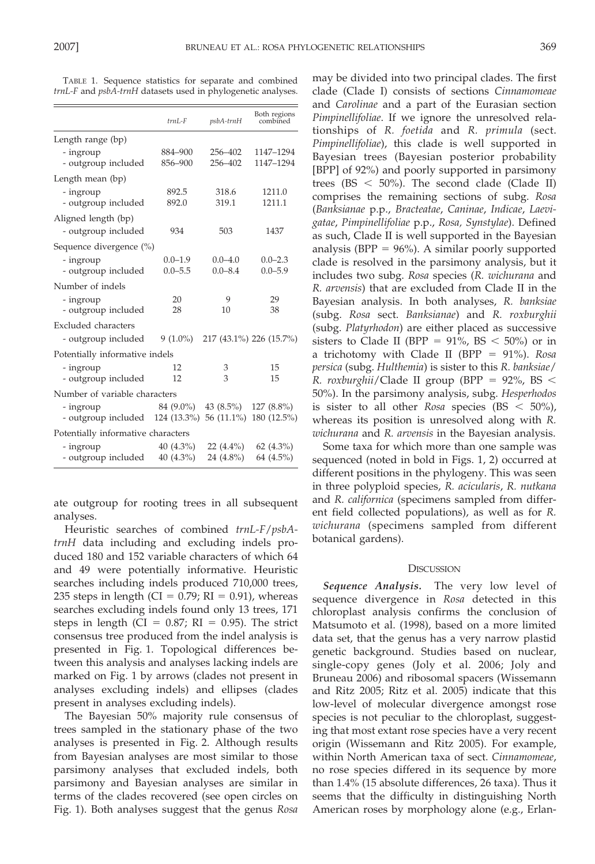|                                              | trnL-F                       | psbA-trnH                  | Both regions<br>combined   |
|----------------------------------------------|------------------------------|----------------------------|----------------------------|
| Length range (bp)                            |                              |                            |                            |
| - ingroup<br>- outgroup included             | 884-900<br>856-900           | 256-402<br>256-402         | 1147-1294<br>1147-1294     |
| Length mean (bp)                             |                              |                            |                            |
| - ingroup<br>- outgroup included             | 892.5<br>892.0               | 318.6<br>319.1             | 1211.0<br>1211.1           |
| Aligned length (bp)<br>- outgroup included   | 934                          | 503                        | 1437                       |
| Sequence divergence (%)                      |                              |                            |                            |
| - ingroup<br>- outgroup included             | $0.0 - 1.9$<br>$0.0 - 5.5$   | $0.0 - 4.0$<br>$0.0 - 8.4$ | $0.0 - 2.3$<br>$0.0 - 5.9$ |
| Number of indels                             |                              |                            |                            |
| - ingroup<br>- outgroup included             | 20<br>28                     | 9<br>10                    | 29<br>38                   |
| Excluded characters                          |                              |                            |                            |
| - outgroup included                          | $9(1.0\%)$                   |                            | 217 (43.1%) 226 (15.7%)    |
| Potentially informative indels               |                              |                            |                            |
| - ingroup<br>- outgroup included             | 12<br>12                     | 3<br>3                     | 15<br>15                   |
| Number of variable characters                |                              |                            |                            |
| - ingroup<br>- outgroup included 124 (13.3%) | 84 (9.0%)                    | 43 (8.5%)<br>56 (11.1%)    | 127 (8.8%)<br>180 (12.5%)  |
| Potentially informative characters           |                              |                            |                            |
| - ingroup<br>- outgroup included             | 40 $(4.3\%)$<br>40 $(4.3\%)$ | $22(4.4\%)$<br>$24(4.8\%)$ | 62 (4.3%)<br>64 (4.5%)     |

TABLE 1. Sequence statistics for separate and combined trnL-F and psbA-trnH datasets used in phylogenetic analyses.

ate outgroup for rooting trees in all subsequent analyses.

Heuristic searches of combined trnL-F/psbAtrnH data including and excluding indels produced 180 and 152 variable characters of which 64 and 49 were potentially informative. Heuristic searches including indels produced 710,000 trees, 235 steps in length (CI =  $0.79$ ; RI = 0.91), whereas searches excluding indels found only 13 trees, 171 steps in length (CI =  $0.87$ ; RI = 0.95). The strict consensus tree produced from the indel analysis is presented in Fig. 1. Topological differences between this analysis and analyses lacking indels are marked on Fig. 1 by arrows (clades not present in analyses excluding indels) and ellipses (clades present in analyses excluding indels).

The Bayesian 50% majority rule consensus of trees sampled in the stationary phase of the two analyses is presented in Fig. 2. Although results from Bayesian analyses are most similar to those parsimony analyses that excluded indels, both parsimony and Bayesian analyses are similar in terms of the clades recovered (see open circles on Fig. 1). Both analyses suggest that the genus Rosa may be divided into two principal clades. The first clade (Clade I) consists of sections Cinnamomeae and Carolinae and a part of the Eurasian section Pimpinellifoliae. If we ignore the unresolved relationships of R. foetida and R. primula (sect. Pimpinellifoliae), this clade is well supported in Bayesian trees (Bayesian posterior probability [BPP] of 92%) and poorly supported in parsimony trees (BS  $<$  50%). The second clade (Clade II) comprises the remaining sections of subg. Rosa (Banksianae p.p., Bracteatae, Caninae, Indicae, Laevigatae, Pimpinellifoliae p.p., Rosa, Synstylae). Defined as such, Clade II is well supported in the Bayesian analysis (BPP =  $96\%$ ). A similar poorly supported clade is resolved in the parsimony analysis, but it includes two subg. Rosa species (R. wichurana and R. arvensis) that are excluded from Clade II in the Bayesian analysis. In both analyses, R. banksiae (subg. Rosa sect. Banksianae) and R. roxburghii (subg. Platyrhodon) are either placed as successive sisters to Clade II (BPP =  $91\%$ , BS <  $50\%$ ) or in a trichotomy with Clade II (BPP =  $91\%$ ). Rosa persica (subg. Hulthemia) is sister to this R. banksiae/ R. roxburghii/Clade II group (BPP = 92%, BS  $\lt$ 50%). In the parsimony analysis, subg. Hesperhodos is sister to all other Rosa species (BS  $<$  50%), whereas its position is unresolved along with R. wichurana and R. arvensis in the Bayesian analysis.

Some taxa for which more than one sample was sequenced (noted in bold in Figs. 1, 2) occurred at different positions in the phylogeny. This was seen in three polyploid species, R. acicularis, R. nutkana and R. californica (specimens sampled from different field collected populations), as well as for R. wichurana (specimens sampled from different botanical gardens).

### **DISCUSSION**

Sequence Analysis. The very low level of sequence divergence in Rosa detected in this chloroplast analysis confirms the conclusion of Matsumoto et al. (1998), based on a more limited data set, that the genus has a very narrow plastid genetic background. Studies based on nuclear, single-copy genes (Joly et al. 2006; Joly and Bruneau 2006) and ribosomal spacers (Wissemann and Ritz 2005; Ritz et al. 2005) indicate that this low-level of molecular divergence amongst rose species is not peculiar to the chloroplast, suggesting that most extant rose species have a very recent origin (Wissemann and Ritz 2005). For example, within North American taxa of sect. Cinnamomeae, no rose species differed in its sequence by more than 1.4% (15 absolute differences, 26 taxa). Thus it seems that the difficulty in distinguishing North American roses by morphology alone (e.g., Erlan-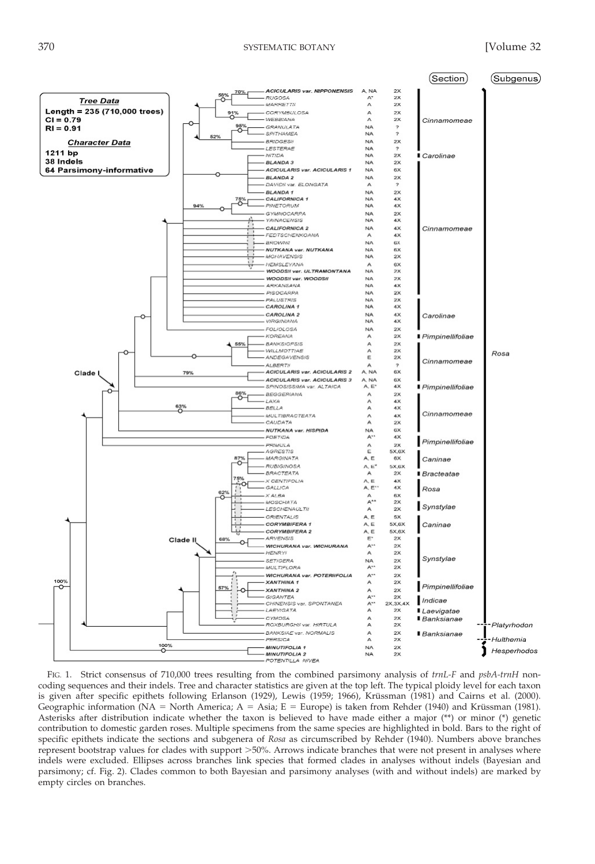

FIG. 1. Strict consensus of 710,000 trees resulting from the combined parsimony analysis of trnL-F and psbA-trnH noncoding sequences and their indels. Tree and character statistics are given at the top left. The typical ploidy level for each taxon is given after specific epithets following Erlanson (1929), Lewis (1959; 1966), Krüssman (1981) and Cairns et al. (2000). Geographic information (NA = North America; A = Asia; E = Europe) is taken from Rehder (1940) and Krüssman (1981). Asterisks after distribution indicate whether the taxon is believed to have made either a major (\*\*) or minor (\*) genetic contribution to domestic garden roses. Multiple specimens from the same species are highlighted in bold. Bars to the right of specific epithets indicate the sections and subgenera of Rosa as circumscribed by Rehder (1940). Numbers above branches represent bootstrap values for clades with support >50%. Arrows indicate branches that were not present in analyses where indels were excluded. Ellipses across branches link species that formed clades in analyses without indels (Bayesian and parsimony; cf. Fig. 2). Clades common to both Bayesian and parsimony analyses (with and without indels) are marked by empty circles on branches.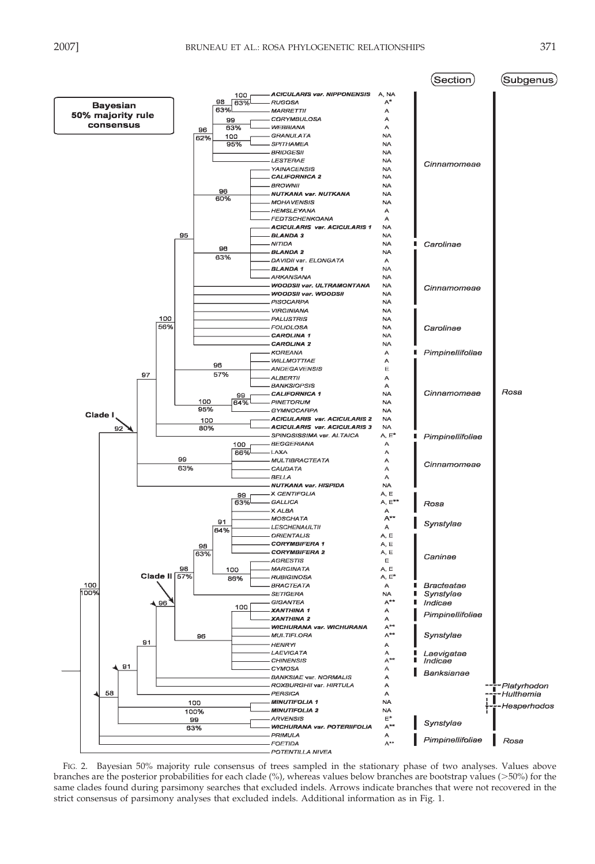

FIG. 2. Bayesian 50% majority rule consensus of trees sampled in the stationary phase of two analyses. Values above branches are the posterior probabilities for each clade (%), whereas values below branches are bootstrap values (>50%) for the same clades found during parsimony searches that excluded indels. Arrows indicate branches that were not recovered in the strict consensus of parsimony analyses that excluded indels. Additional information as in Fig. 1.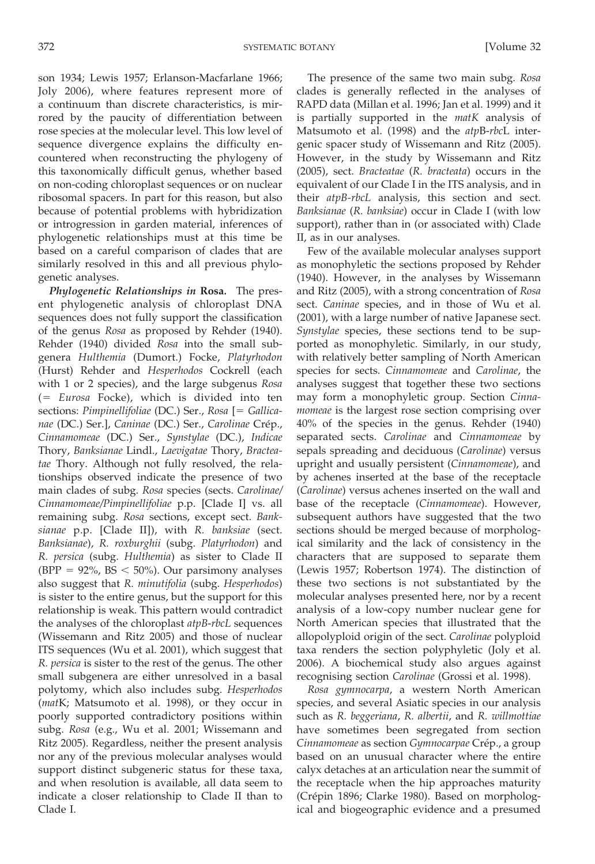372 SYSTEMATIC BOTANY [Volume 32

son 1934; Lewis 1957; Erlanson-Macfarlane 1966; Joly 2006), where features represent more of a continuum than discrete characteristics, is mirrored by the paucity of differentiation between rose species at the molecular level. This low level of sequence divergence explains the difficulty encountered when reconstructing the phylogeny of this taxonomically difficult genus, whether based on non-coding chloroplast sequences or on nuclear ribosomal spacers. In part for this reason, but also because of potential problems with hybridization or introgression in garden material, inferences of phylogenetic relationships must at this time be based on a careful comparison of clades that are similarly resolved in this and all previous phylogenetic analyses.

Phylogenetic Relationships in Rosa. The present phylogenetic analysis of chloroplast DNA sequences does not fully support the classification of the genus Rosa as proposed by Rehder (1940). Rehder (1940) divided Rosa into the small subgenera Hulthemia (Dumort.) Focke, Platyrhodon (Hurst) Rehder and Hesperhodos Cockrell (each with 1 or 2 species), and the large subgenus Rosa (5 Eurosa Focke), which is divided into ten sections: Pimpinellifoliae (DC.) Ser., Rosa [= Gallicanae (DC.) Ser.], Caninae (DC.) Ser., Carolinae Crép., Cinnamomeae (DC.) Ser., Synstylae (DC.), Indicae Thory, Banksianae Lindl., Laevigatae Thory, Bracteatae Thory. Although not fully resolved, the relationships observed indicate the presence of two main clades of subg. Rosa species (sects. Carolinae/ Cinnamomeae/Pimpinellifoliae p.p. [Clade I] vs. all remaining subg. Rosa sections, except sect. Banksianae p.p. [Clade II]), with R. banksiae (sect. Banksianae), R. roxburghii (subg. Platyrhodon) and R. persica (subg. Hulthemia) as sister to Clade II (BPP =  $92\%$ , BS <  $50\%$ ). Our parsimony analyses also suggest that R. minutifolia (subg. Hesperhodos) is sister to the entire genus, but the support for this relationship is weak. This pattern would contradict the analyses of the chloroplast atpB-rbcL sequences (Wissemann and Ritz 2005) and those of nuclear ITS sequences (Wu et al. 2001), which suggest that R. persica is sister to the rest of the genus. The other small subgenera are either unresolved in a basal polytomy, which also includes subg. Hesperhodos (matK; Matsumoto et al. 1998), or they occur in poorly supported contradictory positions within subg. Rosa (e.g., Wu et al. 2001; Wissemann and Ritz 2005). Regardless, neither the present analysis nor any of the previous molecular analyses would support distinct subgeneric status for these taxa, and when resolution is available, all data seem to indicate a closer relationship to Clade II than to Clade I.

The presence of the same two main subg. Rosa clades is generally reflected in the analyses of RAPD data (Millan et al. 1996; Jan et al. 1999) and it is partially supported in the matK analysis of Matsumoto et al. (1998) and the atpB-rbcL intergenic spacer study of Wissemann and Ritz (2005). However, in the study by Wissemann and Ritz (2005), sect. Bracteatae (R. bracteata) occurs in the equivalent of our Clade I in the ITS analysis, and in their *atpB-rbcL* analysis, this section and sect. Banksianae (R. banksiae) occur in Clade I (with low support), rather than in (or associated with) Clade II, as in our analyses.

Few of the available molecular analyses support as monophyletic the sections proposed by Rehder (1940). However, in the analyses by Wissemann and Ritz (2005), with a strong concentration of Rosa sect. Caninae species, and in those of Wu et al. (2001), with a large number of native Japanese sect. Synstylae species, these sections tend to be supported as monophyletic. Similarly, in our study, with relatively better sampling of North American species for sects. Cinnamomeae and Carolinae, the analyses suggest that together these two sections may form a monophyletic group. Section Cinnamomeae is the largest rose section comprising over 40% of the species in the genus. Rehder (1940) separated sects. Carolinae and Cinnamomeae by sepals spreading and deciduous (Carolinae) versus upright and usually persistent (Cinnamomeae), and by achenes inserted at the base of the receptacle (Carolinae) versus achenes inserted on the wall and base of the receptacle (Cinnamomeae). However, subsequent authors have suggested that the two sections should be merged because of morphological similarity and the lack of consistency in the characters that are supposed to separate them (Lewis 1957; Robertson 1974). The distinction of these two sections is not substantiated by the molecular analyses presented here, nor by a recent analysis of a low-copy number nuclear gene for North American species that illustrated that the allopolyploid origin of the sect. Carolinae polyploid taxa renders the section polyphyletic (Joly et al. 2006). A biochemical study also argues against recognising section Carolinae (Grossi et al. 1998).

Rosa gymnocarpa, a western North American species, and several Asiatic species in our analysis such as R. beggeriana, R. albertii, and R. willmottiae have sometimes been segregated from section Cinnamomeae as section Gymnocarpae Crép., a group based on an unusual character where the entire calyx detaches at an articulation near the summit of the receptacle when the hip approaches maturity (Crépin 1896; Clarke 1980). Based on morphological and biogeographic evidence and a presumed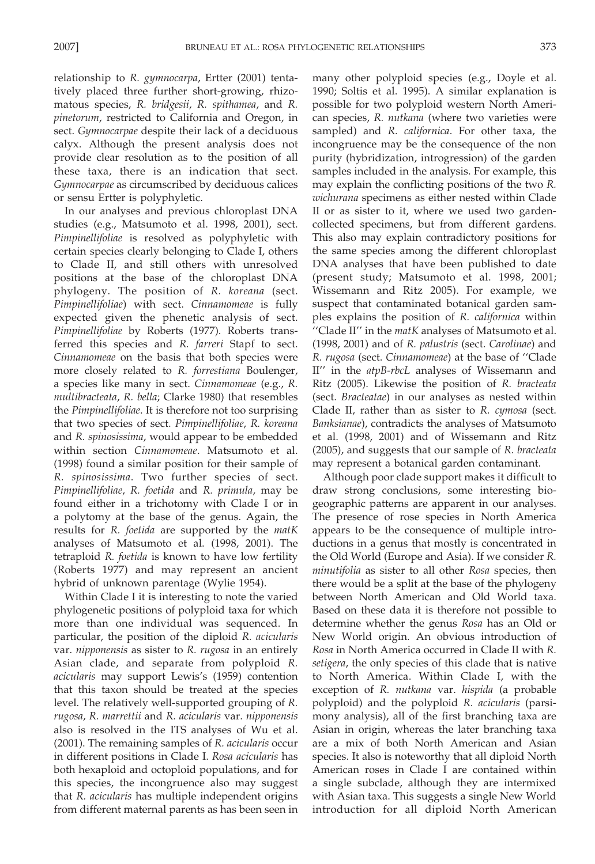relationship to R. gymnocarpa, Ertter (2001) tentatively placed three further short-growing, rhizomatous species, R. bridgesii, R. spithamea, and R. pinetorum, restricted to California and Oregon, in sect. Gymnocarpae despite their lack of a deciduous calyx. Although the present analysis does not provide clear resolution as to the position of all these taxa, there is an indication that sect. Gymnocarpae as circumscribed by deciduous calices or sensu Ertter is polyphyletic.

In our analyses and previous chloroplast DNA studies (e.g., Matsumoto et al. 1998, 2001), sect. Pimpinellifoliae is resolved as polyphyletic with certain species clearly belonging to Clade I, others to Clade II, and still others with unresolved positions at the base of the chloroplast DNA phylogeny. The position of R. koreana (sect. Pimpinellifoliae) with sect. Cinnamomeae is fully expected given the phenetic analysis of sect. Pimpinellifoliae by Roberts (1977). Roberts transferred this species and R. farreri Stapf to sect. Cinnamomeae on the basis that both species were more closely related to R. forrestiana Boulenger, a species like many in sect. Cinnamomeae (e.g., R. multibracteata, R. bella; Clarke 1980) that resembles the Pimpinellifoliae. It is therefore not too surprising that two species of sect. Pimpinellifoliae, R. koreana and R. spinosissima, would appear to be embedded within section Cinnamomeae. Matsumoto et al. (1998) found a similar position for their sample of R. spinosissima. Two further species of sect. Pimpinellifoliae, R. foetida and R. primula, may be found either in a trichotomy with Clade I or in a polytomy at the base of the genus. Again, the results for R. foetida are supported by the matK analyses of Matsumoto et al. (1998, 2001). The tetraploid R. foetida is known to have low fertility (Roberts 1977) and may represent an ancient hybrid of unknown parentage (Wylie 1954).

Within Clade I it is interesting to note the varied phylogenetic positions of polyploid taxa for which more than one individual was sequenced. In particular, the position of the diploid R. acicularis var. nipponensis as sister to R. rugosa in an entirely Asian clade, and separate from polyploid R. acicularis may support Lewis's (1959) contention that this taxon should be treated at the species level. The relatively well-supported grouping of R. rugosa, R. marrettii and R. acicularis var. nipponensis also is resolved in the ITS analyses of Wu et al. (2001). The remaining samples of R. acicularis occur in different positions in Clade I. Rosa acicularis has both hexaploid and octoploid populations, and for this species, the incongruence also may suggest that R. acicularis has multiple independent origins from different maternal parents as has been seen in many other polyploid species (e.g., Doyle et al. 1990; Soltis et al. 1995). A similar explanation is possible for two polyploid western North American species, R. nutkana (where two varieties were sampled) and R. californica. For other taxa, the incongruence may be the consequence of the non purity (hybridization, introgression) of the garden samples included in the analysis. For example, this may explain the conflicting positions of the two R. wichurana specimens as either nested within Clade II or as sister to it, where we used two gardencollected specimens, but from different gardens. This also may explain contradictory positions for the same species among the different chloroplast DNA analyses that have been published to date (present study; Matsumoto et al. 1998, 2001; Wissemann and Ritz 2005). For example, we suspect that contaminated botanical garden samples explains the position of R. californica within ''Clade II'' in the matK analyses of Matsumoto et al. (1998, 2001) and of R. palustris (sect. Carolinae) and R. rugosa (sect. Cinnamomeae) at the base of ''Clade II" in the *atpB-rbcL* analyses of Wissemann and Ritz (2005). Likewise the position of R. bracteata (sect. Bracteatae) in our analyses as nested within Clade II, rather than as sister to R. cymosa (sect. Banksianae), contradicts the analyses of Matsumoto et al. (1998, 2001) and of Wissemann and Ritz (2005), and suggests that our sample of R. bracteata may represent a botanical garden contaminant.

Although poor clade support makes it difficult to draw strong conclusions, some interesting biogeographic patterns are apparent in our analyses. The presence of rose species in North America appears to be the consequence of multiple introductions in a genus that mostly is concentrated in the Old World (Europe and Asia). If we consider R. minutifolia as sister to all other Rosa species, then there would be a split at the base of the phylogeny between North American and Old World taxa. Based on these data it is therefore not possible to determine whether the genus Rosa has an Old or New World origin. An obvious introduction of Rosa in North America occurred in Clade II with R. setigera, the only species of this clade that is native to North America. Within Clade I, with the exception of R. nutkana var. hispida (a probable polyploid) and the polyploid R. acicularis (parsimony analysis), all of the first branching taxa are Asian in origin, whereas the later branching taxa are a mix of both North American and Asian species. It also is noteworthy that all diploid North American roses in Clade I are contained within a single subclade, although they are intermixed with Asian taxa. This suggests a single New World introduction for all diploid North American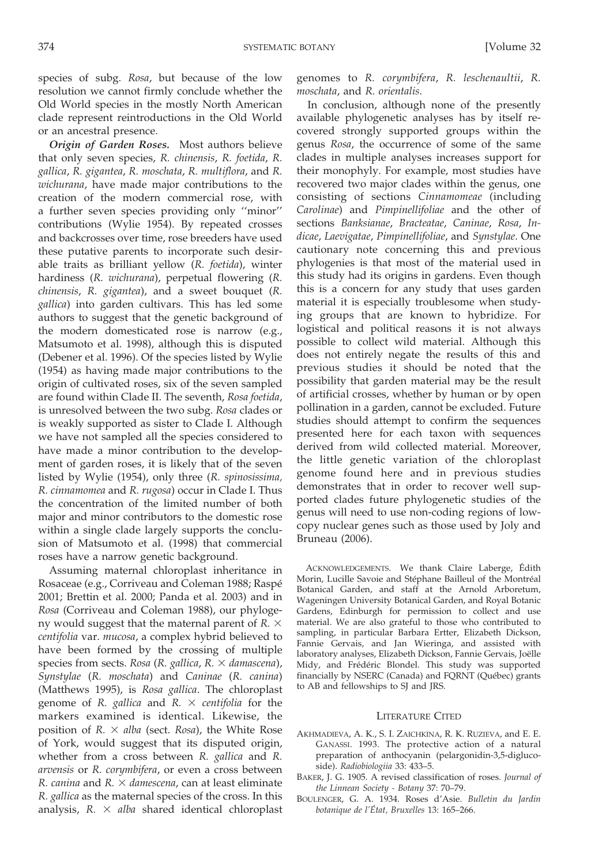species of subg. Rosa, but because of the low resolution we cannot firmly conclude whether the Old World species in the mostly North American clade represent reintroductions in the Old World or an ancestral presence.

Origin of Garden Roses. Most authors believe that only seven species, R. chinensis, R. foetida, R. gallica, R. gigantea, R. moschata, R. multiflora, and R. wichurana, have made major contributions to the creation of the modern commercial rose, with a further seven species providing only ''minor'' contributions (Wylie 1954). By repeated crosses and backcrosses over time, rose breeders have used these putative parents to incorporate such desirable traits as brilliant yellow (R. foetida), winter hardiness (R. wichurana), perpetual flowering (R. chinensis, R. gigantea), and a sweet bouquet (R. gallica) into garden cultivars. This has led some authors to suggest that the genetic background of the modern domesticated rose is narrow (e.g., Matsumoto et al. 1998), although this is disputed (Debener et al. 1996). Of the species listed by Wylie (1954) as having made major contributions to the origin of cultivated roses, six of the seven sampled are found within Clade II. The seventh, Rosa foetida, is unresolved between the two subg. Rosa clades or is weakly supported as sister to Clade I. Although we have not sampled all the species considered to have made a minor contribution to the development of garden roses, it is likely that of the seven listed by Wylie (1954), only three (R. spinosissima, R. cinnamomea and R. rugosa) occur in Clade I. Thus the concentration of the limited number of both major and minor contributors to the domestic rose within a single clade largely supports the conclusion of Matsumoto et al. (1998) that commercial roses have a narrow genetic background.

Assuming maternal chloroplast inheritance in Rosaceae (e.g., Corriveau and Coleman 1988; Raspe´ 2001; Brettin et al. 2000; Panda et al. 2003) and in Rosa (Corriveau and Coleman 1988), our phylogeny would suggest that the maternal parent of  $R. \times$ centifolia var. mucosa, a complex hybrid believed to have been formed by the crossing of multiple species from sects. Rosa (R. gallica, R.  $\times$  damascena), Synstylae (R. moschata) and Caninae (R. canina) (Matthews 1995), is Rosa gallica. The chloroplast genome of R. gallica and R.  $\times$  centifolia for the markers examined is identical. Likewise, the position of  $R. \times$  alba (sect. Rosa), the White Rose of York, would suggest that its disputed origin, whether from a cross between R. gallica and R. arvensis or R. corymbifera, or even a cross between R. canina and  $R. \times$  damescena, can at least eliminate R. gallica as the maternal species of the cross. In this analysis,  $R. \times$  alba shared identical chloroplast

genomes to R. corymbifera, R. leschenaultii, R. moschata, and R. orientalis.

In conclusion, although none of the presently available phylogenetic analyses has by itself recovered strongly supported groups within the genus Rosa, the occurrence of some of the same clades in multiple analyses increases support for their monophyly. For example, most studies have recovered two major clades within the genus, one consisting of sections Cinnamomeae (including Carolinae) and Pimpinellifoliae and the other of sections Banksianae, Bracteatae, Caninae, Rosa, Indicae, Laevigatae, Pimpinellifoliae, and Synstylae. One cautionary note concerning this and previous phylogenies is that most of the material used in this study had its origins in gardens. Even though this is a concern for any study that uses garden material it is especially troublesome when studying groups that are known to hybridize. For logistical and political reasons it is not always possible to collect wild material. Although this does not entirely negate the results of this and previous studies it should be noted that the possibility that garden material may be the result of artificial crosses, whether by human or by open pollination in a garden, cannot be excluded. Future studies should attempt to confirm the sequences presented here for each taxon with sequences derived from wild collected material. Moreover, the little genetic variation of the chloroplast genome found here and in previous studies demonstrates that in order to recover well supported clades future phylogenetic studies of the genus will need to use non-coding regions of lowcopy nuclear genes such as those used by Joly and Bruneau (2006).

ACKNOWLEDGEMENTS. We thank Claire Laberge, Édith Morin, Lucille Savoie and Stéphane Bailleul of the Montréal Botanical Garden, and staff at the Arnold Arboretum, Wageningen University Botanical Garden, and Royal Botanic Gardens, Edinburgh for permission to collect and use material. We are also grateful to those who contributed to sampling, in particular Barbara Ertter, Elizabeth Dickson, Fannie Gervais, and Jan Wieringa, and assisted with laboratory analyses, Elizabeth Dickson, Fannie Gervais, Joëlle Midy, and Frédéric Blondel. This study was supported financially by NSERC (Canada) and FQRNT (Québec) grants to AB and fellowships to SJ and JRS.

## LITERATURE CITED

- AKHMADIEVA, A. K., S. I. ZAICHKINA, R. K. RUZIEVA, and E. E. GANASSI. 1993. The protective action of a natural preparation of anthocyanin (pelargonidin-3,5-diglucoside). Radiobiologiia 33: 433–5.
- BAKER, J. G. 1905. A revised classification of roses. Journal of the Linnean Society - Botany 37: 70–79.
- BOULENGER, G. A. 1934. Roses d'Asie. Bulletin du Jardin botanique de l'État, Bruxelles 13: 165–266.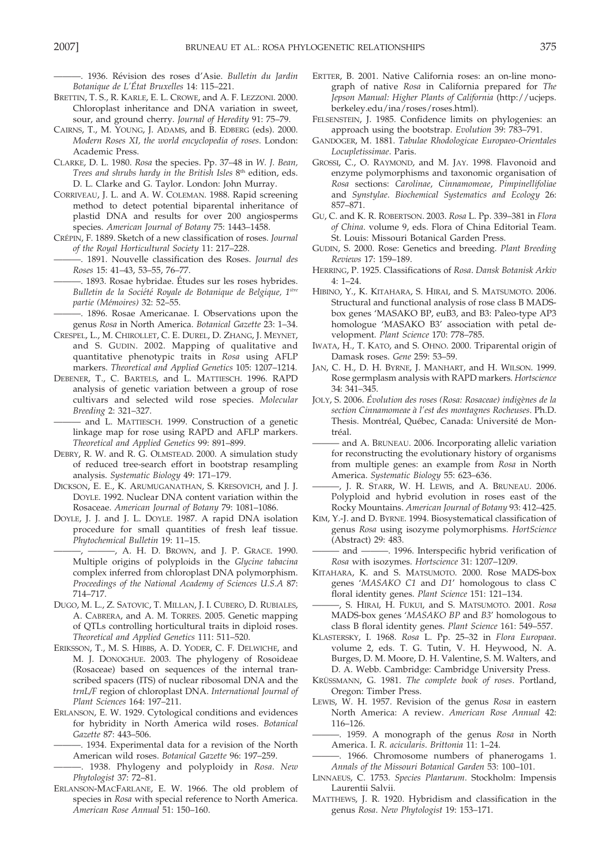-. 1936. Révision des roses d'Asie. Bulletin du Jardin Botanique de L'État Bruxelles 14: 115–221.

- BRETTIN, T. S., R. KARLE, E. L. CROWE, and A. F. LEZZONI. 2000. Chloroplast inheritance and DNA variation in sweet, sour, and ground cherry. Journal of Heredity 91: 75–79.
- CAIRNS, T., M. YOUNG, J. ADAMS, and B. EDBERG (eds). 2000. Modern Roses XI, the world encyclopedia of roses. London: Academic Press.
- CLARKE, D. L. 1980. Rosa the species. Pp. 37–48 in W. J. Bean, Trees and shrubs hardy in the British Isles 8<sup>th</sup> edition, eds. D. L. Clarke and G. Taylor. London: John Murray.
- CORRIVEAU, J. L. and A. W. COLEMAN. 1988. Rapid screening method to detect potential biparental inheritance of plastid DNA and results for over 200 angiosperms species. American Journal of Botany 75: 1443–1458.
- CRÉPIN, F. 1889. Sketch of a new classification of roses. Journal of the Royal Horticultural Society 11: 217–228.
	- ———. 1891. Nouvelle classification des Roses. Journal des Roses 15: 41–43, 53–55, 76–77.
	- ———. 1893. Rosae hybridae. E´tudes sur les roses hybrides. Bulletin de la Société Royale de Botanique de Belgique, 1<sup>ière</sup> partie (Mémoires) 32: 52-55.

———. 1896. Rosae Americanae. I. Observations upon the genus Rosa in North America. Botanical Gazette 23: 1–34.

- CRESPEL, L., M. CHIROLLET, C. E. DUREL, D. ZHANG, J. MEYNET, and S. GUDIN. 2002. Mapping of qualitative and quantitative phenotypic traits in Rosa using AFLP markers. Theoretical and Applied Genetics 105: 1207–1214.
- DEBENER, T., C. BARTELS, and L. MATTIESCH. 1996. RAPD analysis of genetic variation between a group of rose cultivars and selected wild rose species. Molecular Breeding 2: 321–327.

——— and L. MATTIESCH. 1999. Construction of a genetic linkage map for rose using RAPD and AFLP markers. Theoretical and Applied Genetics 99: 891–899.

- DEBRY, R. W. and R. G. OLMSTEAD. 2000. A simulation study of reduced tree-search effort in bootstrap resampling analysis. Systematic Biology 49: 171–179.
- DICKSON, E. E., K. ARUMUGANATHAN, S. KRESOVICH, and J. J. DOYLE. 1992. Nuclear DNA content variation within the Rosaceae. American Journal of Botany 79: 1081–1086.
- DOYLE, J. J. and J. L. DOYLE. 1987. A rapid DNA isolation procedure for small quantities of fresh leaf tissue. Phytochemical Bulletin 19: 11–15.

———, ———, A. H. D. BROWN, and J. P. GRACE. 1990. Multiple origins of polyploids in the Glycine tabacina complex inferred from chloroplast DNA polymorphism. Proceedings of the National Academy of Sciences U.S.A 87: 714–717.

- DUGO, M. L., Z. SATOVIC, T. MILLAN, J. I. CUBERO, D. RUBIALES, A. CABRERA, and A. M. TORRES. 2005. Genetic mapping of QTLs controlling horticultural traits in diploid roses. Theoretical and Applied Genetics 111: 511–520.
- ERIKSSON, T., M. S. HIBBS, A. D. YODER, C. F. DELWICHE, and M. J. DONOGHUE. 2003. The phylogeny of Rosoideae (Rosaceae) based on sequences of the internal transcribed spacers (ITS) of nuclear ribosomal DNA and the trnL/F region of chloroplast DNA. International Journal of Plant Sciences 164: 197–211.
- ERLANSON, E. W. 1929. Cytological conditions and evidences for hybridity in North America wild roses. Botanical Gazette 87: 443–506.
	- ———. 1934. Experimental data for a revision of the North American wild roses. Botanical Gazette 96: 197–259.
- -. 1938. Phylogeny and polyploidy in Rosa. New Phytologist 37: 72–81.
- ERLANSON-MACFARLANE, E. W. 1966. The old problem of species in Rosa with special reference to North America. American Rose Annual 51: 150–160.
- ERTTER, B. 2001. Native California roses: an on-line monograph of native Rosa in California prepared for The Jepson Manual: Higher Plants of California (http://ucjeps. berkeley.edu/ina/roses/roses.html).
- FELSENSTEIN, J. 1985. Confidence limits on phylogenies: an approach using the bootstrap. Evolution 39: 783–791.
- GANDOGER, M. 1881. Tabulae Rhodologicae Europaeo-Orientales Locupletissimae. Paris.
- GROSSI, C., O. RAYMOND, and M. JAY. 1998. Flavonoid and enzyme polymorphisms and taxonomic organisation of Rosa sections: Carolinae, Cinnamomeae, Pimpinellifoliae and Synstylae. Biochemical Systematics and Ecology 26: 857–871.
- GU, C. and K. R. ROBERTSON. 2003. Rosa L. Pp. 339–381 in Flora of China. volume 9, eds. Flora of China Editorial Team. St. Louis: Missouri Botanical Garden Press.
- GUDIN, S. 2000. Rose: Genetics and breeding. Plant Breeding Reviews 17: 159–189.
- HERRING, P. 1925. Classifications of Rosa. Dansk Botanisk Arkiv 4: 1–24.
- HIBINO, Y., K. KITAHARA, S. HIRAI, and S. MATSUMOTO. 2006. Structural and functional analysis of rose class B MADSbox genes 'MASAKO BP, euB3, and B3: Paleo-type AP3 homologue 'MASAKO B3' association with petal development. Plant Science 170: 778–785.
- IWATA, H., T. KATO, and S. OHNO. 2000. Triparental origin of Damask roses. Gene 259: 53–59.
- JAN, C. H., D. H. BYRNE, J. MANHART, and H. WILSON. 1999. Rose germplasm analysis with RAPD markers. Hortscience 34: 341–345.
- JOLY, S. 2006. Évolution des roses (Rosa: Rosaceae) indigènes de la section Cinnamomeae à l'est des montagnes Rocheuses. Ph.D. Thesis. Montréal, Québec, Canada: Université de Montréal.
- and A. BRUNEAU. 2006. Incorporating allelic variation for reconstructing the evolutionary history of organisms from multiple genes: an example from Rosa in North America. Systematic Biology 55: 623–636.
- ———, J. R. STARR, W. H. LEWIS, and A. BRUNEAU. 2006. Polyploid and hybrid evolution in roses east of the Rocky Mountains. American Journal of Botany 93: 412–425.
- KIM, Y.-J. and D. BYRNE. 1994. Biosystematical classification of genus Rosa using isozyme polymorphisms. HortScience (Abstract) 29: 483.
- and ———. 1996. Interspecific hybrid verification of Rosa with isozymes. Hortscience 31: 1207–1209.
- KITAHARA, K. and S. MATSUMOTO. 2000. Rose MADS-box genes 'MASAKO C1 and D1' homologous to class C floral identity genes. Plant Science 151: 121–134.
- ———, S. HIRAI, H. FUKUI, and S. MATSUMOTO. 2001. Rosa MADS-box genes 'MASAKO BP and B3' homologous to class B floral identity genes. Plant Science 161: 549–557.
- KLASTERSKY, I. 1968. Rosa L. Pp. 25–32 in Flora Europaea. volume 2, eds. T. G. Tutin, V. H. Heywood, N. A. Burges, D. M. Moore, D. H. Valentine, S. M. Walters, and D. A. Webb. Cambridge: Cambridge University Press.
- KRÜSSMANN, G. 1981. The complete book of roses. Portland, Oregon: Timber Press.
- LEWIS, W. H. 1957. Revision of the genus Rosa in eastern North America: A review. American Rose Annual 42: 116–126.
	- ———. 1959. A monograph of the genus Rosa in North America. I. R. acicularis. Brittonia 11: 1–24.
	- ———. 1966. Chromosome numbers of phanerogams 1. Annals of the Missouri Botanical Garden 53: 100–101.
- LINNAEUS, C. 1753. Species Plantarum. Stockholm: Impensis Laurentii Salvii.
- MATTHEWS, J. R. 1920. Hybridism and classification in the genus Rosa. New Phytologist 19: 153–171.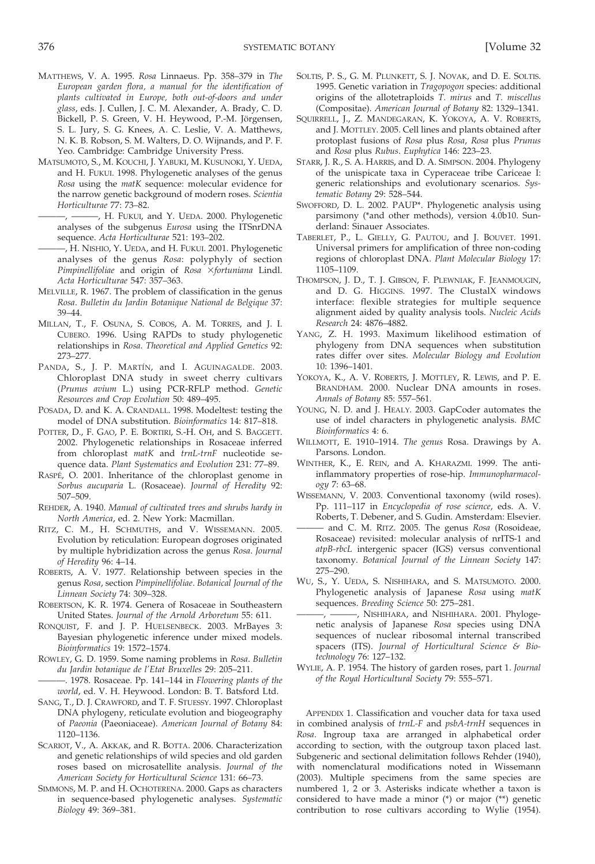- MATTHEWS, V. A. 1995. Rosa Linnaeus. Pp. 358–379 in The European garden flora, a manual for the identification of plants cultivated in Europe, both out-of-doors and under glass, eds. J. Cullen, J. C. M. Alexander, A. Brady, C. D. Bickell, P. S. Green, V. H. Heywood, P.-M. Jörgensen, S. L. Jury, S. G. Knees, A. C. Leslie, V. A. Matthews, N. K. B. Robson, S. M. Walters, D. O. Wijnands, and P. F. Yeo. Cambridge: Cambridge University Press.
- MATSUMOTO, S., M. KOUCHI, J. YABUKI, M. KUSUNOKI, Y. UEDA, and H. FUKUI. 1998. Phylogenetic analyses of the genus Rosa using the matK sequence: molecular evidence for the narrow genetic background of modern roses. Scientia Horticulturae 77: 73–82.
- ———, ———, H. FUKUI, and Y. UEDA. 2000. Phylogenetic analyses of the subgenus Eurosa using the ITSnrDNA sequence. Acta Horticulturae 521: 193–202.
- ———, H. NISHIO, Y. UEDA, and H. FUKUI. 2001. Phylogenetic analyses of the genus Rosa: polyphyly of section Pimpinellifoliae and origin of Rosa Xfortuniana Lindl. Acta Horticulturae 547: 357–363.
- MELVILLE, R. 1967. The problem of classification in the genus Rosa. Bulletin du Jardin Botanique National de Belgique 37: 39–44.
- MILLAN, T., F. OSUNA, S. COBOS, A. M. TORRES, and J. I. CUBERO. 1996. Using RAPDs to study phylogenetic relationships in Rosa. Theoretical and Applied Genetics 92: 273–277.
- PANDA, S., J. P. MARTÍN, and I. AGUINAGALDE. 2003. Chloroplast DNA study in sweet cherry cultivars (Prunus avium L.) using PCR-RFLP method. Genetic Resources and Crop Evolution 50: 489–495.
- POSADA, D. and K. A. CRANDALL. 1998. Modeltest: testing the model of DNA substitution. Bioinformatics 14: 817–818.
- POTTER, D., F. GAO, P. E. BORTIRI, S.-H. OH, and S. BAGGETT. 2002. Phylogenetic relationships in Rosaceae inferred from chloroplast matK and trnL-trnF nucleotide sequence data. Plant Systematics and Evolution 231: 77–89.
- RASPÉ, O. 2001. Inheritance of the chloroplast genome in Sorbus aucuparia L. (Rosaceae). Journal of Heredity 92: 507–509.
- REHDER, A. 1940. Manual of cultivated trees and shrubs hardy in North America, ed. 2. New York: Macmillan.
- RITZ, C. M., H. SCHMUTHS, and V. WISSEMANN. 2005. Evolution by reticulation: European dogroses originated by multiple hybridization across the genus Rosa. Journal of Heredity 96: 4–14.
- ROBERTS, A. V. 1977. Relationship between species in the genus Rosa, section Pimpinellifoliae. Botanical Journal of the Linnean Society 74: 309–328.
- ROBERTSON, K. R. 1974. Genera of Rosaceae in Southeastern United States. Journal of the Arnold Arboretum 55: 611.
- RONQUIST, F. and J. P. HUELSENBECK. 2003. MrBayes 3: Bayesian phylogenetic inference under mixed models. Bioinformatics 19: 1572–1574.
- ROWLEY, G. D. 1959. Some naming problems in Rosa. Bulletin du Jardin botanique de l'Etat Bruxelles 29: 205–211.
- -. 1978. Rosaceae. Pp. 141-144 in Flowering plants of the world, ed. V. H. Heywood. London: B. T. Batsford Ltd.
- SANG, T., D. J. CRAWFORD, and T. F. STUESSY. 1997. Chloroplast DNA phylogeny, reticulate evolution and biogeography of Paeonia (Paeoniaceae). American Journal of Botany 84: 1120–1136.
- SCARIOT, V., A. AKKAK, and R. BOTTA. 2006. Characterization and genetic relationships of wild species and old garden roses based on microsatellite analysis. Journal of the American Society for Horticultural Science 131: 66–73.
- SIMMONS, M. P. and H. OCHOTERENA. 2000. Gaps as characters in sequence-based phylogenetic analyses. Systematic Biology 49: 369–381.
- SOLTIS, P. S., G. M. PLUNKETT, S. J. NOVAK, and D. E. SOLTIS. 1995. Genetic variation in Tragopogon species: additional origins of the allotetraploids T. mirus and T. miscellus (Compositae). American Journal of Botany 82: 1329–1341.
- SQUIRRELL, J., Z. MANDEGARAN, K. YOKOYA, A. V. ROBERTS, and J. MOTTLEY. 2005. Cell lines and plants obtained after protoplast fusions of Rosa plus Rosa, Rosa plus Prunus and Rosa plus Rubus. Euphytica 146: 223–23.
- STARR, J. R., S. A. HARRIS, and D. A. SIMPSON. 2004. Phylogeny of the unispicate taxa in Cyperaceae tribe Cariceae I: generic relationships and evolutionary scenarios. Systematic Botany 29: 528–544.
- SWOFFORD, D. L. 2002. PAUP\*. Phylogenetic analysis using parsimony (\*and other methods), version 4.0b10. Sunderland: Sinauer Associates.
- TABERLET, P., L. GIELLY, G. PAUTOU, and J. BOUVET. 1991. Universal primers for amplification of three non-coding regions of chloroplast DNA. Plant Molecular Biology 17: 1105–1109.
- THOMPSON, J. D., T. J. GIBSON, F. PLEWNIAK, F. JEANMOUGIN, and D. G. HIGGINS. 1997. The ClustalX windows interface: flexible strategies for multiple sequence alignment aided by quality analysis tools. Nucleic Acids Research 24: 4876–4882.
- YANG, Z. H. 1993. Maximum likelihood estimation of phylogeny from DNA sequences when substitution rates differ over sites. Molecular Biology and Evolution 10: 1396–1401.
- YOKOYA, K., A. V. ROBERTS, J. MOTTLEY, R. LEWIS, and P. E. BRANDHAM. 2000. Nuclear DNA amounts in roses. Annals of Botany 85: 557–561.
- YOUNG, N. D. and J. HEALY. 2003. GapCoder automates the use of indel characters in phylogenetic analysis. BMC Bioinformatics 4: 6.
- WILLMOTT, E. 1910–1914. The genus Rosa. Drawings by A. Parsons. London.
- WINTHER, K., E. REIN, and A. KHARAZMI. 1999. The antiinflammatory properties of rose-hip. Immunopharmacology 7: 63–68.
- WISSEMANN, V. 2003. Conventional taxonomy (wild roses). Pp. 111–117 in Encyclopedia of rose science, eds. A. V. Roberts, T. Debener, and S. Gudin. Amsterdam: Elsevier.
- and C. M. RITZ. 2005. The genus Rosa (Rosoideae, Rosaceae) revisited: molecular analysis of nrITS-1 and atpB-rbcL intergenic spacer (IGS) versus conventional taxonomy. Botanical Journal of the Linnean Society 147: 275–290.
- WU, S., Y. UEDA, S. NISHIHARA, and S. MATSUMOTO. 2000. Phylogenetic analysis of Japanese Rosa using matK sequences. Breeding Science 50: 275–281.
- ———, ———, NISHIHARA, and NISHIHARA. 2001. Phylogenetic analysis of Japanese Rosa species using DNA sequences of nuclear ribosomal internal transcribed spacers (ITS). Journal of Horticultural Science & Biotechnology 76: 127–132.
- WYLIE, A. P. 1954. The history of garden roses, part 1. Journal of the Royal Horticultural Society 79: 555–571.

APPENDIX 1. Classification and voucher data for taxa used in combined analysis of trnL-F and psbA-trnH sequences in Rosa. Ingroup taxa are arranged in alphabetical order according to section, with the outgroup taxon placed last. Subgeneric and sectional delimitation follows Rehder (1940), with nomenclatural modifications noted in Wissemann (2003). Multiple specimens from the same species are numbered 1, 2 or 3. Asterisks indicate whether a taxon is considered to have made a minor (\*) or major (\*\*) genetic contribution to rose cultivars according to Wylie (1954).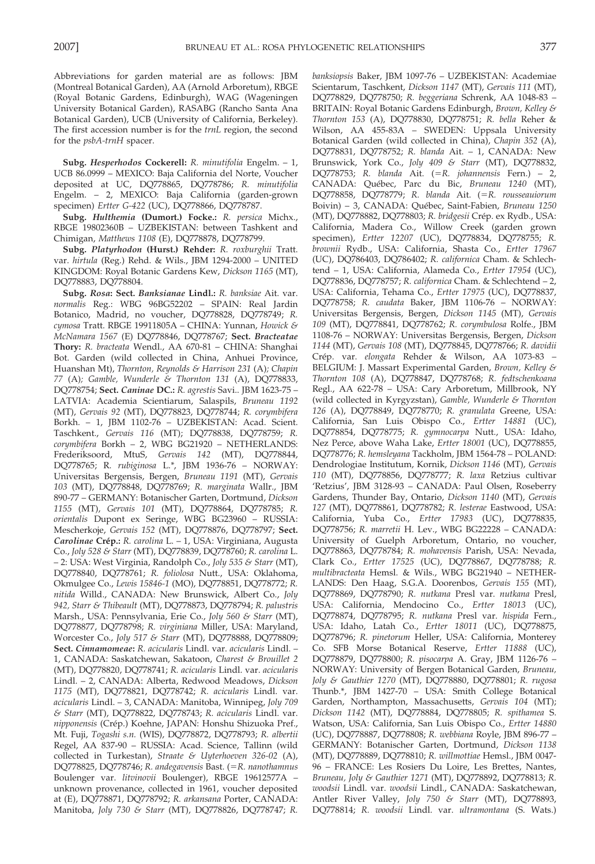Subg. Hesperhodos Cockerell: R. minutifolia Engelm. – 1, UCB 86.0999 – MEXICO: Baja California del Norte, Voucher deposited at UC, DQ778865, DQ778786; R. minutifolia Engelm. – 2, MEXICO: Baja California (garden-grown specimen) Ertter G-422 (UC), DQ778866, DQ778787.

Subg. Hulthemia (Dumort.) Focke.: R. persica Michx., RBGE 19802360B – UZBEKISTAN: between Tashkent and Chimigan, Matthews 1108 (E), DQ778878, DQ778799.

Subg. Platyrhodon (Hurst.) Rehder: R. roxburghii Tratt. var. hirtula (Reg.) Rehd. & Wils., JBM 1294-2000 – UNITED KINGDOM: Royal Botanic Gardens Kew, Dickson 1165 (MT), DQ778883, DQ778804.

Subg. Rosa: Sect. Banksianae Lindl.: R. banksiae Ait. var. normalis Reg.: WBG 96BG52202 – SPAIN: Real Jardin Botanico, Madrid, no voucher, DQ778828, DQ778749; R. cymosa Tratt. RBGE 19911805A – CHINA: Yunnan, Howick & McNamara 1567 (E) DQ778846, DQ778767; Sect. Bracteatae Thory: R. bracteata Wendl., AA 670-81 – CHINA: Shanghai Bot. Garden (wild collected in China, Anhuei Province, Huanshan Mt), Thornton, Reynolds & Harrison 231 (A); Chapin 77 (A); Gamble, Wunderle & Thornton 131 (A), DQ778833, DQ778754; Sect. Caninae DC.: R. agrestis Savi.. JBM 1623-75 – LATVIA: Academia Scientiarum, Salaspils, Bruneau 1192 (MT), Gervais 92 (MT), DQ778823, DQ778744; R. corymbifera Borkh. – 1, JBM 1102-76 – UZBEKISTAN: Acad. Scient. Taschkent., Gervais 116 (MT); DQ778838, DQ778759; R. corymbifera Borkh – 2, WBG BG21920 – NETHERLANDS: Frederiksoord, MtuS, Gervais 142 (MT), DQ778844, DQ778765; R. rubiginosa L.\*, JBM 1936-76 – NORWAY: Universitas Bergensis, Bergen, Bruneau 1191 (MT), Gervais 103 (MT), DQ778848, DQ778769; R. marginata Wallr., JBM 890-77 – GERMANY: Botanischer Garten, Dortmund, Dickson 1155 (MT), Gervais 101 (MT), DQ778864, DQ778785; R. orientalis Dupont ex Seringe, WBG BG23960 – RUSSIA: Mescherkoje, Gervais 152 (MT), DQ778876, DQ778797; Sect. Carolinae Crép.: R. carolina L. - 1, USA: Virginiana, Augusta Co., Joly 528 & Starr (MT), DQ778839, DQ778760; R. carolina L. – 2: USA: West Virginia, Randolph Co., Joly 535 & Starr (MT), DQ778840, DQ778761; R. foliolosa Nutt., USA: Oklahoma, Okmulgee Co., Lewis 15846-1 (MO), DQ778851, DQ778772; R. nitida Willd., CANADA: New Brunswick, Albert Co., Joly 942, Starr & Thibeault (MT), DQ778873, DQ778794; R. palustris Marsh., USA: Pennsylvania, Erie Co., Joly 560 & Starr (MT), DQ778877, DQ778798; R. virginiana Miller, USA: Maryland, Worcester Co., Joly 517 & Starr (MT), DQ778888, DQ778809; Sect. Cinnamomeae: R. acicularis Lindl. var. acicularis Lindl. -1, CANADA: Saskatchewan, Sakatoon, Charest & Brouillet 2 (MT), DQ778820, DQ778741; R. acicularis Lindl. var. acicularis Lindl. – 2, CANADA: Alberta, Redwood Meadows, Dickson 1175 (MT), DQ778821, DQ778742; R. acicularis Lindl. var. acicularis Lindl. – 3, CANADA: Manitoba, Winnipeg, Joly 709 & Starr (MT), DQ778822, DQ778743; R. acicularis Lindl. var. nipponensis (Crép.) Koehne, JAPAN: Honshu Shizuoka Pref., Mt. Fuji, Togashi s.n. (WIS), DQ778872, DQ778793; R. albertii Regel, AA 837-90 – RUSSIA: Acad. Science, Tallinn (wild collected in Turkestan), Straate & Uyterhoeven 326-02 (A), DQ778825, DQ778746; R. andegavensis Bast. (=R. nanothamnus Boulenger var. litvinovii Boulenger), RBGE 19612577A – unknown provenance, collected in 1961, voucher deposited at (E), DQ778871, DQ778792; R. arkansana Porter, CANADA: Manitoba, Joly 730 & Starr (MT), DQ778826, DQ778747; R. banksiopsis Baker, JBM 1097-76 – UZBEKISTAN: Academiae Scientarum, Taschkent, Dickson 1147 (MT), Gervais 111 (MT), DQ778829, DQ778750; R. beggeriana Schrenk, AA 1048-83 – BRITAIN: Royal Botanic Gardens Edinburgh, Brown, Kelley & Thornton 153 (A), DQ778830, DQ778751; R. bella Reher & Wilson, AA 455-83A – SWEDEN: Uppsala University Botanical Garden (wild collected in China), Chapin 352 (A), DQ778831, DQ778752; R. blanda Ait. – 1, CANADA: New Brunswick, York Co., Joly 409 & Starr (MT), DQ778832, DQ778753; R. blanda Ait. (=R. johannensis Fern.) – 2, CANADA: Québec, Parc du Bic, Bruneau 1240 (MT), DQ778858, DQ778779; R. blanda Ait.  $(=R.$  rousseauiorum Boivin) - 3, CANADA: Québec, Saint-Fabien, Bruneau 1250 (MT), DQ778882, DQ778803; R. bridgesii Crép. ex Rydb., USA: California, Madera Co., Willow Creek (garden grown specimen), Ertter 12207 (UC), DQ778834, DQ778755; R. brownii Rydb., USA: California, Shasta Co., Ertter 17967 (UC), DQ786403, DQ786402; R. californica Cham. & Schlechtend – 1, USA: California, Alameda Co., Ertter 17954 (UC), DQ778836, DQ778757; R. californica Cham. & Schlechtend – 2, USA: California, Tehama Co., Ertter 17975 (UC), DQ778837, DQ778758; R. caudata Baker, JBM 1106-76 – NORWAY: Universitas Bergensis, Bergen, Dickson 1145 (MT), Gervais 109 (MT), DQ778841, DQ778762; R. corymbulosa Rolfe., JBM 1108-76 – NORWAY: Universitas Bergensis, Bergen, Dickson 1144 (MT), Gervais 108 (MT), DQ778845, DQ778766; R. davidii Crép. var. elongata Rehder & Wilson, AA 1073-83 -BELGIUM: J. Massart Experimental Garden, Brown, Kelley & Thornton 108 (A), DQ778847, DQ778768; R. fedtschenkoana Regl., AA 622-78 – USA: Cary Arboretum, Millbrook, NY (wild collected in Kyrgyzstan), Gamble, Wunderle & Thornton 126 (A), DQ778849, DQ778770; R. granulata Greene, USA: California, San Luis Obispo Co., Ertter 14881 (UC), DQ778854, DQ778775; R. gymnocarpa Nutt., USA: Idaho, Nez Perce, above Waha Lake, Ertter 18001 (UC), DQ778855, DQ778776; R. hemsleyana Tackholm, JBM 1564-78 – POLAND: Dendrologiae Institutum, Kornik, Dickson 1146 (MT), Gervais 110 (MT), DQ778856, DQ778777; R. laxa Retzius cultivar 'Retzius', JBM 3128-93 – CANADA: Paul Olsen, Roseberry Gardens, Thunder Bay, Ontario, Dickson 1140 (MT), Gervais 127 (MT), DQ778861, DQ778782; R. lesterae Eastwood, USA: California, Yuba Co., Ertter 17983 (UC), DQ778835, DQ778756; R. marretii H. Lev., WBG BG22228 – CANADA: University of Guelph Arboretum, Ontario, no voucher, DQ778863, DQ778784; R. mohavensis Parish, USA: Nevada, Clark Co., Ertter 17525 (UC), DQ778867, DQ778788; R. multibracteata Hemsl. & Wils., WBG BG21940 – NETHER-LANDS: Den Haag, S.G.A. Doorenbos, Gervais 155 (MT), DQ778869, DQ778790; R. nutkana Presl var. nutkana Presl, USA: California, Mendocino Co., Ertter 18013 (UC), DQ778874, DQ778795; R. nutkana Presl var. hispida Fern., USA: Idaho, Latah Co., Ertter 18011 (UC), DQ778875, DQ778796; R. pinetorum Heller, USA: California, Monterey Co. SFB Morse Botanical Reserve, Ertter 11888 (UC), DQ778879, DQ778800; R. pisocarpa A. Gray, JBM 1126-76 – NORWAY: University of Bergen Botanical Garden, Bruneau, Joly & Gauthier 1270 (MT), DQ778880, DQ778801; R. rugosa Thunb.\*, JBM 1427-70 – USA: Smith College Botanical Garden, Northampton, Massachusetts, Gervais 104 (MT); Dickson 1142 (MT), DQ778884, DQ778805; R. spithamea S. Watson, USA: California, San Luis Obispo Co., Ertter 14880 (UC), DQ778887, DQ778808; R. webbiana Royle, JBM 896-77 – GERMANY: Botanischer Garten, Dortmund, Dickson 1138 (MT), DQ778889, DQ778810; R. willmottiae Hemsl., JBM 0047- 96 – FRANCE: Les Rosiers Du Loire, Les Brettes, Nantes, Bruneau, Joly & Gauthier 1271 (MT), DQ778892, DQ778813; R. woodsii Lindl. var. woodsii Lindl., CANADA: Saskatchewan, Antler River Valley, Joly 750 & Starr (MT), DQ778893, DQ778814; R. woodsii Lindl. var. ultramontana (S. Wats.)